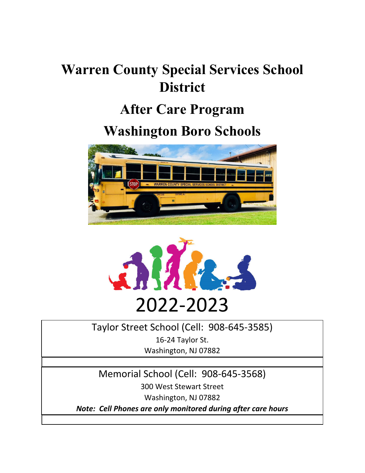# **Warren County Special Services School District**

# **After Care Program**

# **Washington Boro Schools**





# Taylor Street School (Cell: 908‐645‐3585)

16‐24 Taylor St. Washington, NJ 07882

Memorial School (Cell: 908‐645‐3568) 300 West Stewart Street

Washington, NJ 07882

*Note: Cell Phones are only monitored during after care hours*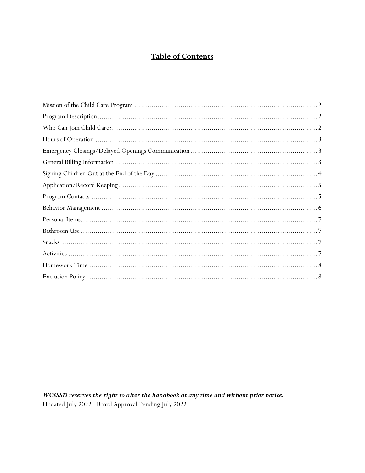# **Table of Contents**

WCSSSD reserves the right to alter the handbook at any time and without prior notice. Updated July 2022. Board Approval Pending July 2022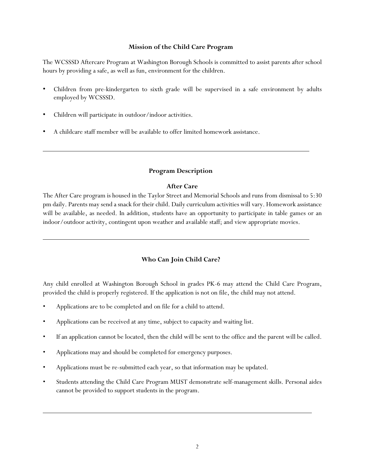#### **Mission of the Child Care Program**

The WCSSSD Aftercare Program at Washington Borough Schools is committed to assist parents after school hours by providing a safe, as well as fun, environment for the children.

- Children from pre-kindergarten to sixth grade will be supervised in a safe environment by adults employed by WCSSSD.
- Children will participate in outdoor/indoor activities.
- A childcare staff member will be available to offer limited homework assistance.

# **Program Description**

#### **After Care**

The After Care program is housed in the Taylor Street and Memorial Schools and runs from dismissal to 5:30 pm daily. Parents may send a snack for their child. Daily curriculum activities will vary. Homework assistance will be available, as needed. In addition, students have an opportunity to participate in table games or an indoor/outdoor activity, contingent upon weather and available staff; and view appropriate movies.

# **Who Can Join Child Care?**

Any child enrolled at Washington Borough School in grades PK-6 may attend the Child Care Program, provided the child is properly registered. If the application is not on file, the child may not attend.

- Applications are to be completed and on file for a child to attend.
- Applications can be received at any time, subject to capacity and waiting list.
- If an application cannot be located, then the child will be sent to the office and the parent will be called.
- Applications may and should be completed for emergency purposes.
- Applications must be re-submitted each year, so that information may be updated.
- Students attending the Child Care Program MUST demonstrate self-management skills. Personal aides cannot be provided to support students in the program.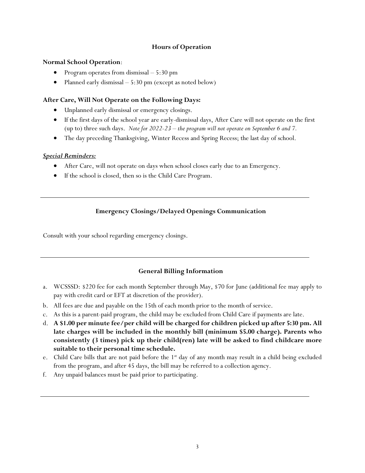# **Hours of Operation**

# **Normal School Operation**:

- Program operates from dismissal  $-5:30$  pm
- Planned early dismissal  $-5:30$  pm (except as noted below)

# **After Care, Will Not Operate on the Following Days:**

- Unplanned early dismissal or emergency closings.
- If the first days of the school year are early-dismissal days, After Care will not operate on the first (up to) three such days. *Note for 2022-23 – the program will not operate on September 6 and 7.*
- The day preceding Thanksgiving, Winter Recess and Spring Recess; the last day of school.

#### *Special Reminders:*

- After Care, will not operate on days when school closes early due to an Emergency.
- If the school is closed, then so is the Child Care Program.

# **Emergency Closings/Delayed Openings Communication**

Consult with your school regarding emergency closings.

# **General Billing Information**

- a. WCSSSD: \$220 fee for each month September through May, \$70 for June (additional fee may apply to pay with credit card or EFT at discretion of the provider).
- b. All fees are due and payable on the 15th of each month prior to the month of service.
- c. As this is a parent-paid program, the child may be excluded from Child Care if payments are late.
- d. **A \$1.00 per minute fee/per child will be charged for children picked up after 5:30 pm. All late charges will be included in the monthly bill (minimum \$5.00 charge). Parents who consistently (3 times) pick up their child(ren) late will be asked to find childcare more suitable to their personal time schedule.**
- e. Child Care bills that are not paid before the 1<sup>st</sup> day of any month may result in a child being excluded from the program, and after 45 days, the bill may be referred to a collection agency.
- f. Any unpaid balances must be paid prior to participating.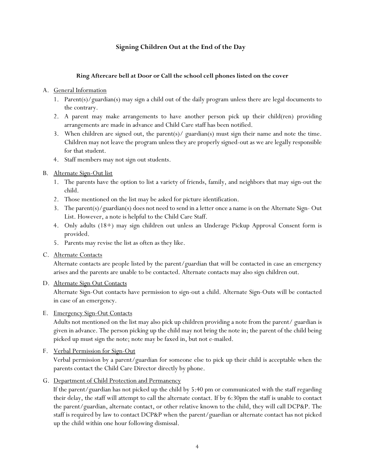# **Signing Children Out at the End of the Day**

#### **Ring Aftercare bell at Door or Call the school cell phones listed on the cover**

#### A. General Information

- 1. Parent(s)/guardian(s) may sign a child out of the daily program unless there are legal documents to the contrary.
- 2. A parent may make arrangements to have another person pick up their child(ren) providing arrangements are made in advance and Child Care staff has been notified.
- 3. When children are signed out, the parent(s)/ guardian(s) must sign their name and note the time. Children may not leave the program unless they are properly signed-out as we are legally responsible for that student.
- 4. Staff members may not sign out students.

# B. Alternate Sign-Out list

- 1. The parents have the option to list a variety of friends, family, and neighbors that may sign-out the child.
- 2. Those mentioned on the list may be asked for picture identification.
- 3. The parent(s)/guardian(s) does not need to send in a letter once a name is on the Alternate Sign- Out List. However, a note is helpful to the Child Care Staff.
- 4. Only adults (18+) may sign children out unless an Underage Pickup Approval Consent form is provided.
- 5. Parents may revise the list as often as they like.

#### C. Alternate Contacts

Alternate contacts are people listed by the parent/guardian that will be contacted in case an emergency arises and the parents are unable to be contacted. Alternate contacts may also sign children out.

# D. Alternate Sign Out Contacts

Alternate Sign-Out contacts have permission to sign-out a child. Alternate Sign-Outs will be contacted in case of an emergency.

#### E. Emergency Sign-Out Contacts

Adults not mentioned on the list may also pick up children providing a note from the parent/ guardian is given in advance. The person picking up the child may not bring the note in; the parent of the child being picked up must sign the note; note may be faxed in, but not e-mailed.

# F. Verbal Permission for Sign-Out

Verbal permission by a parent/guardian for someone else to pick up their child is acceptable when the parents contact the Child Care Director directly by phone.

# G. Department of Child Protection and Permanency

If the parent/guardian has not picked up the child by 5:40 pm or communicated with the staff regarding their delay, the staff will attempt to call the alternate contact. If by 6:30pm the staff is unable to contact the parent/guardian, alternate contact, or other relative known to the child, they will call DCP&P. The staff is required by law to contact DCP&P when the parent/guardian or alternate contact has not picked up the child within one hour following dismissal.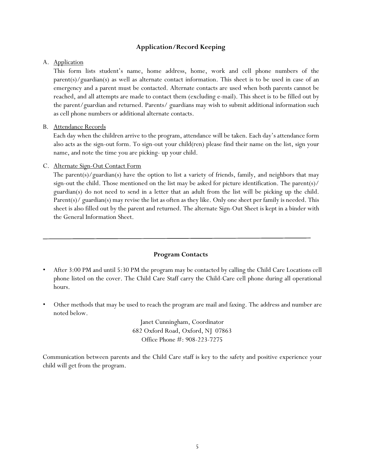# **Application/Record Keeping**

#### A. Application

This form lists student's name, home address, home, work and cell phone numbers of the parent(s)/guardian(s) as well as alternate contact information. This sheet is to be used in case of an emergency and a parent must be contacted. Alternate contacts are used when both parents cannot be reached, and all attempts are made to contact them (excluding e-mail). This sheet is to be filled out by the parent/guardian and returned. Parents/ guardians may wish to submit additional information such as cell phone numbers or additional alternate contacts.

#### B. Attendance Records

Each day when the children arrive to the program, attendance will be taken. Each day's attendance form also acts as the sign-out form. To sign-out your child(ren) please find their name on the list, sign your name, and note the time you are picking- up your child.

#### C. Alternate Sign-Out Contact Form

The parent(s)/guardian(s) have the option to list a variety of friends, family, and neighbors that may sign-out the child. Those mentioned on the list may be asked for picture identification. The parent( $s$ )/ guardian(s) do not need to send in a letter that an adult from the list will be picking up the child. Parent(s)/ guardian(s) may revise the list as often as they like. Only one sheet per family is needed. This sheet is also filled out by the parent and returned. The alternate Sign-Out Sheet is kept in a binder with the General Information Sheet.

#### **Program Contacts**

- After 3:00 PM and until 5:30 PM the program may be contacted by calling the Child Care Locations cell phone listed on the cover. The Child Care Staff carry the Child-Care cell phone during all operational hours.
- Other methods that may be used to reach the program are mail and faxing. The address and number are noted below.

Janet Cunningham, Coordinator 682 Oxford Road, Oxford, NJ 07863 Office Phone #: 908-223-7275

Communication between parents and the Child Care staff is key to the safety and positive experience your child will get from the program.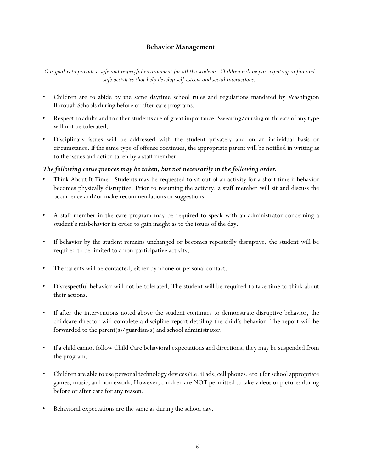# **Behavior Management**

*Our goal is to provide a safe and respectful environment for all the students. Children will be participating in fun and safe activities that help develop self-esteem and social interactions.* 

- Children are to abide by the same daytime school rules and regulations mandated by Washington Borough Schools during before or after care programs.
- Respect to adults and to other students are of great importance. Swearing/cursing or threats of any type will not be tolerated.
- Disciplinary issues will be addressed with the student privately and on an individual basis or circumstance. If the same type of offense continues, the appropriate parent will be notified in writing as to the issues and action taken by a staff member.

# *The following consequences may be taken, but not necessarily in the following order.*

- Think About It Time Students may be requested to sit out of an activity for a short time if behavior becomes physically disruptive. Prior to resuming the activity, a staff member will sit and discuss the occurrence and/or make recommendations or suggestions.
- A staff member in the care program may be required to speak with an administrator concerning a student's misbehavior in order to gain insight as to the issues of the day.
- If behavior by the student remains unchanged or becomes repeatedly disruptive, the student will be required to be limited to a non-participative activity.
- The parents will be contacted, either by phone or personal contact.
- Disrespectful behavior will not be tolerated. The student will be required to take time to think about their actions.
- If after the interventions noted above the student continues to demonstrate disruptive behavior, the childcare director will complete a discipline report detailing the child's behavior. The report will be forwarded to the parent(s)/guardian(s) and school administrator.
- If a child cannot follow Child Care behavioral expectations and directions, they may be suspended from the program.
- Children are able to use personal technology devices (i.e. iPads, cell phones, etc.) for school appropriate games, music, and homework. However, children are NOT permitted to take videos or pictures during before or after care for any reason.
- Behavioral expectations are the same as during the school day.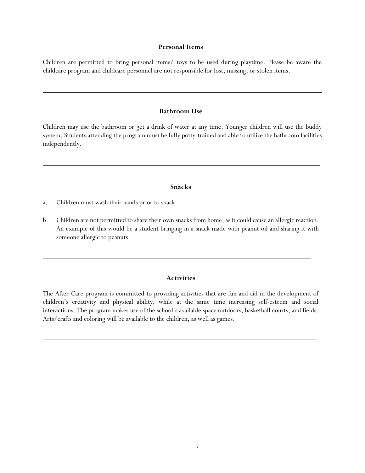#### **Personal Items**

Children are permitted to bring personal items/ toys to be used during playtime. Please be aware the childcare program and childcare personnel are not responsible for lost, missing, or stolen items.

#### **Bathroom Use**

Children may use the bathroom or get a drink of water at any time. Younger children will use the buddy system. Students attending the program must be fully potty-trained and able to utilize the bathroom facilities independently.

#### **Snacks**

- a. Children must wash their hands prior to snack
- b. Children are not permitted to share their own snacks from home, as it could cause an allergic reaction. An example of this would be a student bringing in a snack made with peanut oil and sharing it with someone allergic to peanuts.

#### **Activities**

The After Care program is committed to providing activities that are fun and aid in the development of children's creativity and physical ability, while at the same time increasing self-esteem and social interactions. The program makes use of the school's available space outdoors, basketball courts, and fields. Arts/crafts and coloring will be available to the children, as well as games.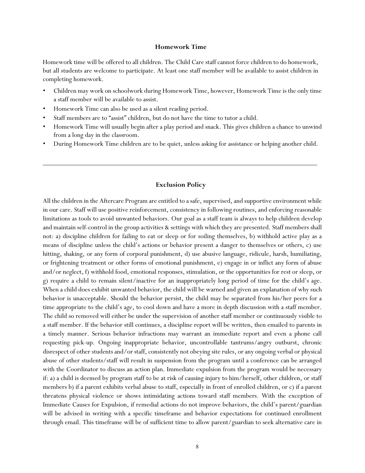#### **Homework Time**

Homework time will be offered to all children. The Child Care staff cannot force children to do homework, but all students are welcome to participate. At least one staff member will be available to assist children in completing homework.

- Children may work on schoolwork during Homework Time, however, Homework Time is the only time a staff member will be available to assist.
- Homework Time can also be used as a silent reading period.
- Staff members are to "assist" children, but do not have the time to tutor a child.
- Homework Time will usually begin after a play period and snack. This gives children a chance to unwind from a long day in the classroom.
- During Homework Time children are to be quiet, unless asking for assistance or helping another child.

#### **Exclusion Policy**

All the children in the Aftercare Program are entitled to a safe, supervised, and supportive environment while in our care. Staff will use positive reinforcement, consistency in following routines, and enforcing reasonable limitations as tools to avoid unwanted behaviors. Our goal as a staff team is always to help children develop and maintain self-control in the group activities & settings with which they are presented. Staff members shall not: a) discipline children for failing to eat or sleep or for soiling themselves, b) withhold active play as a means of discipline unless the child's actions or behavior present a danger to themselves or others, c) use hitting, shaking, or any form of corporal punishment, d) use abusive language, ridicule, harsh, humiliating, or frightening treatment or other forms of emotional punishment, e) engage in or inflict any form of abuse and/or neglect, f) withhold food, emotional responses, stimulation, or the opportunities for rest or sleep, or g) require a child to remain silent/inactive for an inappropriately long period of time for the child's age. When a child does exhibit unwanted behavior, the child will be warned and given an explanation of why such behavior is unacceptable. Should the behavior persist, the child may be separated from his/her peers for a time appropriate to the child's age, to cool down and have a more in depth discussion with a staff member. The child so removed will either be under the supervision of another staff member or continuously visible to a staff member. If the behavior still continues, a discipline report will be written, then emailed to parents in a timely manner. Serious behavior infractions may warrant an immediate report and even a phone call requesting pick-up. Ongoing inappropriate behavior, uncontrollable tantrums/angry outburst, chronic disrespect of other students and/or staff, consistently not obeying site rules, or any ongoing verbal or physical abuse of other students/staff will result in suspension from the program until a conference can be arranged with the Coordinator to discuss an action plan. Immediate expulsion from the program would be necessary if: a) a child is deemed by program staff to be at risk of causing injury to him/herself, other children, or staff members b) if a parent exhibits verbal abuse to staff, especially in front of enrolled children, or c) if a parent threatens physical violence or shows intimidating actions toward staff members. With the exception of Immediate Causes for Expulsion, if remedial actions do not improve behaviors, the child's parent/guardian will be advised in writing with a specific timeframe and behavior expectations for continued enrollment through email. This timeframe will be of sufficient time to allow parent/guardian to seek alternative care in